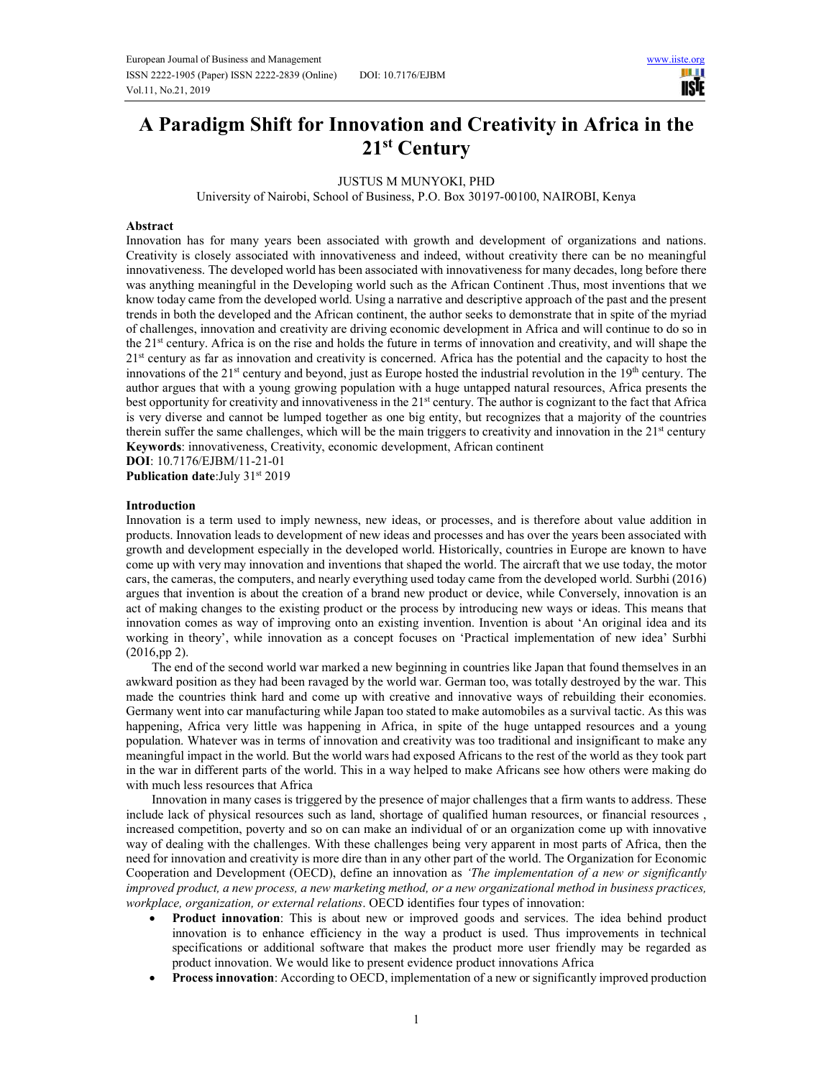**USIE** 

# **A Paradigm Shift for Innovation and Creativity in Africa in the 21st Century**

JUSTUS M MUNYOKI, PHD

University of Nairobi, School of Business, P.O. Box 30197-00100, NAIROBI, Kenya

### **Abstract**

Innovation has for many years been associated with growth and development of organizations and nations. Creativity is closely associated with innovativeness and indeed, without creativity there can be no meaningful innovativeness. The developed world has been associated with innovativeness for many decades, long before there was anything meaningful in the Developing world such as the African Continent .Thus, most inventions that we know today came from the developed world. Using a narrative and descriptive approach of the past and the present trends in both the developed and the African continent, the author seeks to demonstrate that in spite of the myriad of challenges, innovation and creativity are driving economic development in Africa and will continue to do so in the 21st century. Africa is on the rise and holds the future in terms of innovation and creativity, and will shape the 21<sup>st</sup> century as far as innovation and creativity is concerned. Africa has the potential and the capacity to host the innovations of the  $21^{st}$  century and beyond, just as Europe hosted the industrial revolution in the  $19^{th}$  century. The author argues that with a young growing population with a huge untapped natural resources, Africa presents the best opportunity for creativity and innovativeness in the 21<sup>st</sup> century. The author is cognizant to the fact that Africa is very diverse and cannot be lumped together as one big entity, but recognizes that a majority of the countries therein suffer the same challenges, which will be the main triggers to creativity and innovation in the 21st century **Keywords**: innovativeness, Creativity, economic development, African continent

**DOI**: 10.7176/EJBM/11-21-01 **Publication date:**July 31<sup>st</sup> 2019

#### **Introduction**

Innovation is a term used to imply newness, new ideas, or processes, and is therefore about value addition in products. Innovation leads to development of new ideas and processes and has over the years been associated with growth and development especially in the developed world. Historically, countries in Europe are known to have come up with very may innovation and inventions that shaped the world. The aircraft that we use today, the motor cars, the cameras, the computers, and nearly everything used today came from the developed world. Surbhi (2016) argues that invention is about the creation of a brand new product or device, while Conversely, innovation is an act of making changes to the existing product or the process by introducing new ways or ideas. This means that innovation comes as way of improving onto an existing invention. Invention is about 'An original idea and its working in theory', while innovation as a concept focuses on 'Practical implementation of new idea' Surbhi (2016,pp 2).

The end of the second world war marked a new beginning in countries like Japan that found themselves in an awkward position as they had been ravaged by the world war. German too, was totally destroyed by the war. This made the countries think hard and come up with creative and innovative ways of rebuilding their economies. Germany went into car manufacturing while Japan too stated to make automobiles as a survival tactic. As this was happening, Africa very little was happening in Africa, in spite of the huge untapped resources and a young population. Whatever was in terms of innovation and creativity was too traditional and insignificant to make any meaningful impact in the world. But the world wars had exposed Africans to the rest of the world as they took part in the war in different parts of the world. This in a way helped to make Africans see how others were making do with much less resources that Africa

Innovation in many cases is triggered by the presence of major challenges that a firm wants to address. These include lack of physical resources such as land, shortage of qualified human resources, or financial resources , increased competition, poverty and so on can make an individual of or an organization come up with innovative way of dealing with the challenges. With these challenges being very apparent in most parts of Africa, then the need for innovation and creativity is more dire than in any other part of the world. The Organization for Economic Cooperation and Development (OECD), define an innovation as *'The implementation of a new or significantly improved product, a new process, a new marketing method, or a new organizational method in business practices, workplace, organization, or external relations*. OECD identifies four types of innovation:

- **Product innovation**: This is about new or improved goods and services. The idea behind product innovation is to enhance efficiency in the way a product is used. Thus improvements in technical specifications or additional software that makes the product more user friendly may be regarded as product innovation. We would like to present evidence product innovations Africa
- **Process innovation**: According to OECD, implementation of a new or significantly improved production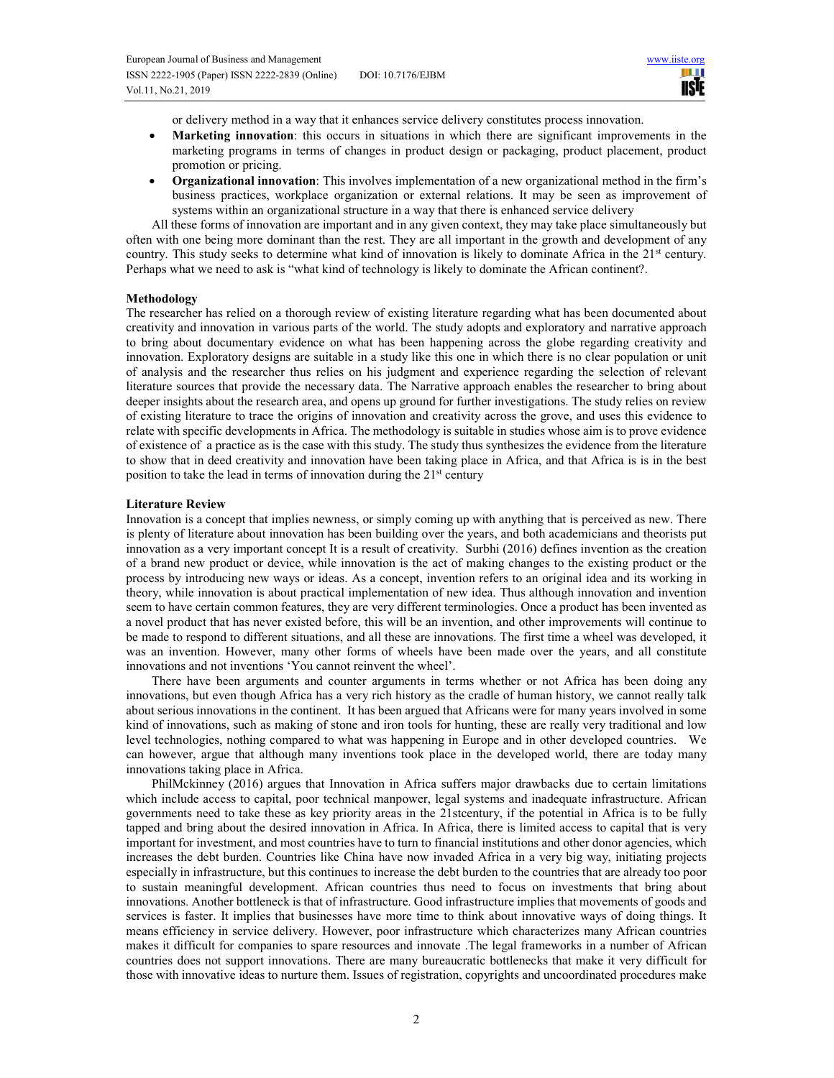or delivery method in a way that it enhances service delivery constitutes process innovation.

- **Marketing innovation**: this occurs in situations in which there are significant improvements in the marketing programs in terms of changes in product design or packaging, product placement, product promotion or pricing.
- **Organizational innovation**: This involves implementation of a new organizational method in the firm's business practices, workplace organization or external relations. It may be seen as improvement of systems within an organizational structure in a way that there is enhanced service delivery

All these forms of innovation are important and in any given context, they may take place simultaneously but often with one being more dominant than the rest. They are all important in the growth and development of any country. This study seeks to determine what kind of innovation is likely to dominate Africa in the 21<sup>st</sup> century. Perhaps what we need to ask is "what kind of technology is likely to dominate the African continent?.

### **Methodology**

The researcher has relied on a thorough review of existing literature regarding what has been documented about creativity and innovation in various parts of the world. The study adopts and exploratory and narrative approach to bring about documentary evidence on what has been happening across the globe regarding creativity and innovation. Exploratory designs are suitable in a study like this one in which there is no clear population or unit of analysis and the researcher thus relies on his judgment and experience regarding the selection of relevant literature sources that provide the necessary data. The Narrative approach enables the researcher to bring about deeper insights about the research area, and opens up ground for further investigations. The study relies on review of existing literature to trace the origins of innovation and creativity across the grove, and uses this evidence to relate with specific developments in Africa. The methodology is suitable in studies whose aim is to prove evidence of existence of a practice as is the case with this study. The study thus synthesizes the evidence from the literature to show that in deed creativity and innovation have been taking place in Africa, and that Africa is is in the best position to take the lead in terms of innovation during the  $21<sup>st</sup>$  century

## **Literature Review**

Innovation is a concept that implies newness, or simply coming up with anything that is perceived as new. There is plenty of literature about innovation has been building over the years, and both academicians and theorists put innovation as a very important concept It is a result of creativity. Surbhi (2016) defines invention as the creation of a brand new product or device, while innovation is the act of making changes to the existing product or the process by introducing new ways or ideas. As a concept, invention refers to an original idea and its working in theory, while innovation is about practical implementation of new idea. Thus although innovation and invention seem to have certain common features, they are very different terminologies. Once a product has been invented as a novel product that has never existed before, this will be an invention, and other improvements will continue to be made to respond to different situations, and all these are innovations. The first time a wheel was developed, it was an invention. However, many other forms of wheels have been made over the years, and all constitute innovations and not inventions 'You cannot reinvent the wheel'.

There have been arguments and counter arguments in terms whether or not Africa has been doing any innovations, but even though Africa has a very rich history as the cradle of human history, we cannot really talk about serious innovations in the continent. It has been argued that Africans were for many years involved in some kind of innovations, such as making of stone and iron tools for hunting, these are really very traditional and low level technologies, nothing compared to what was happening in Europe and in other developed countries. We can however, argue that although many inventions took place in the developed world, there are today many innovations taking place in Africa.

PhilMckinney (2016) argues that Innovation in Africa suffers major drawbacks due to certain limitations which include access to capital, poor technical manpower, legal systems and inadequate infrastructure. African governments need to take these as key priority areas in the 21stcentury, if the potential in Africa is to be fully tapped and bring about the desired innovation in Africa. In Africa, there is limited access to capital that is very important for investment, and most countries have to turn to financial institutions and other donor agencies, which increases the debt burden. Countries like China have now invaded Africa in a very big way, initiating projects especially in infrastructure, but this continues to increase the debt burden to the countries that are already too poor to sustain meaningful development. African countries thus need to focus on investments that bring about innovations. Another bottleneck is that of infrastructure. Good infrastructure implies that movements of goods and services is faster. It implies that businesses have more time to think about innovative ways of doing things. It means efficiency in service delivery. However, poor infrastructure which characterizes many African countries makes it difficult for companies to spare resources and innovate .The legal frameworks in a number of African countries does not support innovations. There are many bureaucratic bottlenecks that make it very difficult for those with innovative ideas to nurture them. Issues of registration, copyrights and uncoordinated procedures make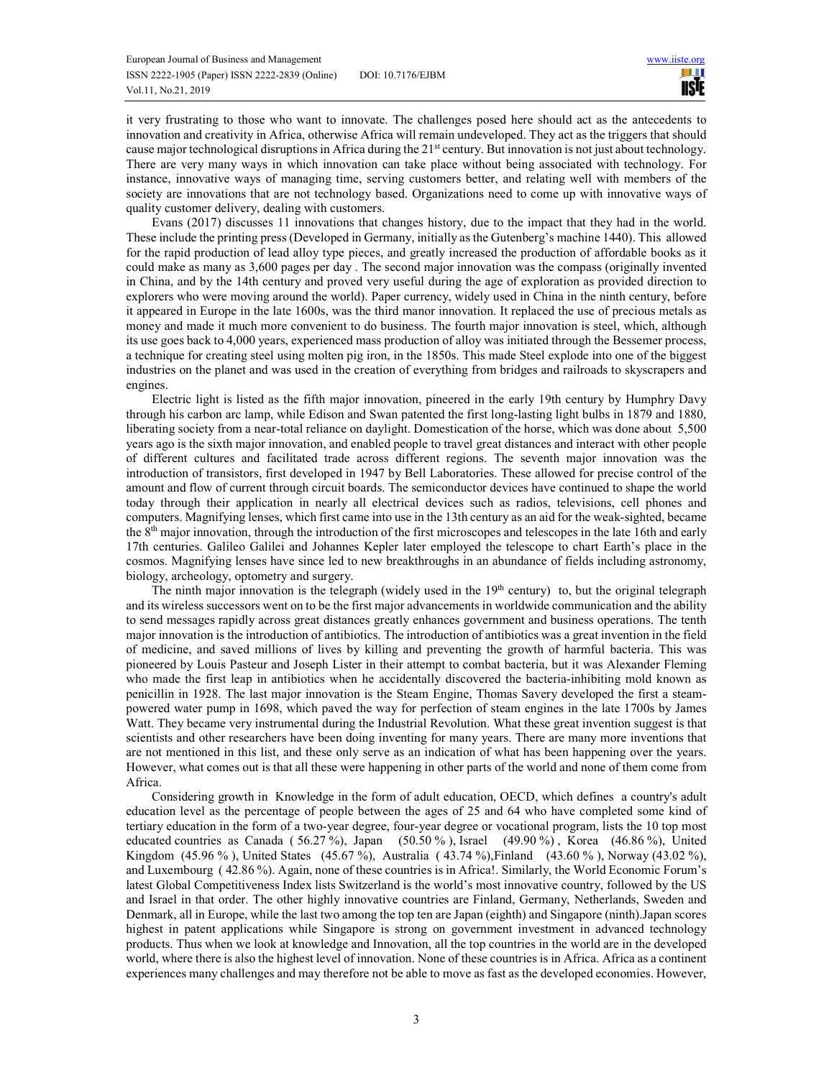it very frustrating to those who want to innovate. The challenges posed here should act as the antecedents to innovation and creativity in Africa, otherwise Africa will remain undeveloped. They act as the triggers that should cause major technological disruptions in Africa during the 21<sup>st</sup> century. But innovation is not just about technology. There are very many ways in which innovation can take place without being associated with technology. For instance, innovative ways of managing time, serving customers better, and relating well with members of the society are innovations that are not technology based. Organizations need to come up with innovative ways of quality customer delivery, dealing with customers.

Evans (2017) discusses 11 innovations that changes history, due to the impact that they had in the world. These include the printing press (Developed in Germany, initially as the Gutenberg's machine 1440). This allowed for the rapid production of lead alloy type pieces, and greatly increased the production of affordable books as it could make as many as 3,600 pages per day . The second major innovation was the compass (originally invented in China, and by the 14th century and proved very useful during the age of exploration as provided direction to explorers who were moving around the world). Paper currency, widely used in China in the ninth century, before it appeared in Europe in the late 1600s, was the third manor innovation. It replaced the use of precious metals as money and made it much more convenient to do business. The fourth major innovation is steel, which, although its use goes back to 4,000 years, experienced mass production of alloy was initiated through the Bessemer process, a technique for creating steel using molten pig iron, in the 1850s. This made Steel explode into one of the biggest industries on the planet and was used in the creation of everything from bridges and railroads to skyscrapers and engines.

Electric light is listed as the fifth major innovation, pineered in the early 19th century by Humphry Davy through his carbon arc lamp, while Edison and Swan patented the first long-lasting light bulbs in 1879 and 1880, liberating society from a near-total reliance on daylight. Domestication of the horse, which was done about 5,500 years ago is the sixth major innovation, and enabled people to travel great distances and interact with other people of different cultures and facilitated trade across different regions. The seventh major innovation was the introduction of transistors, first developed in 1947 by Bell Laboratories. These allowed for precise control of the amount and flow of current through circuit boards. The semiconductor devices have continued to shape the world today through their application in nearly all electrical devices such as radios, televisions, cell phones and computers. Magnifying lenses, which first came into use in the 13th century as an aid for the weak-sighted, became the 8th major innovation, through the introduction of the first microscopes and telescopes in the late 16th and early 17th centuries. Galileo Galilei and Johannes Kepler later employed the telescope to chart Earth's place in the cosmos. Magnifying lenses have since led to new breakthroughs in an abundance of fields including astronomy, biology, archeology, optometry and surgery.

The ninth major innovation is the telegraph (widely used in the  $19<sup>th</sup>$  century) to, but the original telegraph and its wireless successors went on to be the first major advancements in worldwide communication and the ability to send messages rapidly across great distances greatly enhances government and business operations. The tenth major innovation is the introduction of antibiotics. The introduction of antibiotics was a great invention in the field of medicine, and saved millions of lives by killing and preventing the growth of harmful bacteria. This was pioneered by Louis Pasteur and Joseph Lister in their attempt to combat bacteria, but it was Alexander Fleming who made the first leap in antibiotics when he accidentally discovered the bacteria-inhibiting mold known as penicillin in 1928. The last major innovation is the Steam Engine, Thomas Savery developed the first a steampowered water pump in 1698, which paved the way for perfection of steam engines in the late 1700s by James Watt. They became very instrumental during the Industrial Revolution. What these great invention suggest is that scientists and other researchers have been doing inventing for many years. There are many more inventions that are not mentioned in this list, and these only serve as an indication of what has been happening over the years. However, what comes out is that all these were happening in other parts of the world and none of them come from Africa.

Considering growth in Knowledge in the form of adult education, OECD, which defines a country's adult education level as the percentage of people between the ages of 25 and 64 who have completed some kind of tertiary education in the form of a two-year degree, four-year degree or vocational program, lists the 10 top most educated countries as Canada ( 56.27 %), Japan (50.50 % ), Israel (49.90 %) , Korea (46.86 %), United Kingdom (45.96 % ), United States (45.67 %), Australia ( 43.74 %),Finland (43.60 % ), Norway (43.02 %), and Luxembourg ( 42.86 %). Again, none of these countries is in Africa!. Similarly, the World Economic Forum's latest Global Competitiveness Index lists Switzerland is the world's most innovative country, followed by the US and Israel in that order. The other highly innovative countries are Finland, Germany, Netherlands, Sweden and Denmark, all in Europe, while the last two among the top ten are Japan (eighth) and Singapore (ninth).Japan scores highest in patent applications while Singapore is strong on government investment in advanced technology products. Thus when we look at knowledge and Innovation, all the top countries in the world are in the developed world, where there is also the highest level of innovation. None of these countries is in Africa. Africa as a continent experiences many challenges and may therefore not be able to move as fast as the developed economies. However,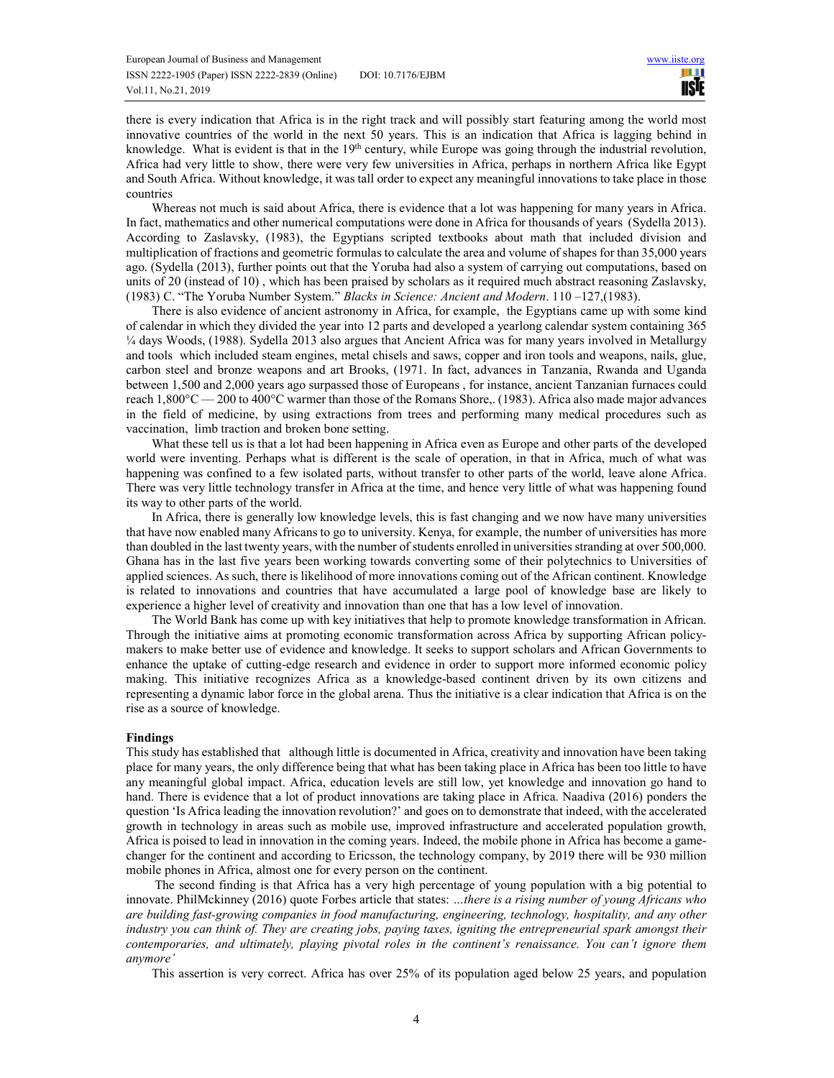there is every indication that Africa is in the right track and will possibly start featuring among the world most innovative countries of the world in the next 50 years. This is an indication that Africa is lagging behind in knowledge. What is evident is that in the 19<sup>th</sup> century, while Europe was going through the industrial revolution, Africa had very little to show, there were very few universities in Africa, perhaps in northern Africa like Egypt and South Africa. Without knowledge, it was tall order to expect any meaningful innovations to take place in those countries

Whereas not much is said about Africa, there is evidence that a lot was happening for many years in Africa. In fact, mathematics and other numerical computations were done in Africa for thousands of years (Sydella 2013). According to Zaslavsky, (1983), the Egyptians scripted textbooks about math that included division and multiplication of fractions and geometric formulas to calculate the area and volume of shapes for than 35,000 years ago. (Sydella (2013), further points out that the Yoruba had also a system of carrying out computations, based on units of 20 (instead of 10) , which has been praised by scholars as it required much abstract reasoning Zaslavsky, (1983) C. "The Yoruba Number System." *Blacks in Science: Ancient and Modern*. 110 –127,(1983).

There is also evidence of ancient astronomy in Africa, for example, the Egyptians came up with some kind of calendar in which they divided the year into 12 parts and developed a yearlong calendar system containing 365 ¼ days Woods, (1988). Sydella 2013 also argues that Ancient Africa was for many years involved in Metallurgy and tools which included steam engines, metal chisels and saws, copper and iron tools and weapons, nails, glue, carbon steel and bronze weapons and art Brooks, (1971. In fact, advances in Tanzania, Rwanda and Uganda between 1,500 and 2,000 years ago surpassed those of Europeans , for instance, ancient Tanzanian furnaces could reach 1,800°C — 200 to 400°C warmer than those of the Romans Shore,. (1983). Africa also made major advances in the field of medicine, by using extractions from trees and performing many medical procedures such as vaccination, limb traction and broken bone setting.

What these tell us is that a lot had been happening in Africa even as Europe and other parts of the developed world were inventing. Perhaps what is different is the scale of operation, in that in Africa, much of what was happening was confined to a few isolated parts, without transfer to other parts of the world, leave alone Africa. There was very little technology transfer in Africa at the time, and hence very little of what was happening found its way to other parts of the world.

In Africa, there is generally low knowledge levels, this is fast changing and we now have many universities that have now enabled many Africans to go to university. Kenya, for example, the number of universities has more than doubled in the last twenty years, with the number of students enrolled in universities stranding at over 500,000. Ghana has in the last five years been working towards converting some of their polytechnics to Universities of applied sciences. As such, there is likelihood of more innovations coming out of the African continent. Knowledge is related to innovations and countries that have accumulated a large pool of knowledge base are likely to experience a higher level of creativity and innovation than one that has a low level of innovation.

The World Bank has come up with key initiatives that help to promote knowledge transformation in African. Through the initiative aims at promoting economic transformation across Africa by supporting African policymakers to make better use of evidence and knowledge. It seeks to support scholars and African Governments to enhance the uptake of cutting-edge research and evidence in order to support more informed economic policy making. This initiative recognizes Africa as a knowledge-based continent driven by its own citizens and representing a dynamic labor force in the global arena. Thus the initiative is a clear indication that Africa is on the rise as a source of knowledge.

### **Findings**

This study has established that although little is documented in Africa, creativity and innovation have been taking place for many years, the only difference being that what has been taking place in Africa has been too little to have any meaningful global impact. Africa, education levels are still low, yet knowledge and innovation go hand to hand. There is evidence that a lot of product innovations are taking place in Africa. Naadiva (2016) ponders the question 'Is Africa leading the innovation revolution?' and goes on to demonstrate that indeed, with the accelerated growth in technology in areas such as mobile use, improved infrastructure and accelerated population growth, Africa is poised to lead in innovation in the coming years. Indeed, the mobile phone in Africa has become a gamechanger for the continent and according to Ericsson, the technology company, by 2019 there will be 930 million mobile phones in Africa, almost one for every person on the continent.

 The second finding is that Africa has a very high percentage of young population with a big potential to innovate. PhilMckinney (2016) quote Forbes article that states: *…there is a rising number of young Africans who are building fast-growing companies in food manufacturing, engineering, technology, hospitality, and any other industry you can think of. They are creating jobs, paying taxes, igniting the entrepreneurial spark amongst their contemporaries, and ultimately, playing pivotal roles in the continent's renaissance. You can't ignore them anymore'* 

This assertion is very correct. Africa has over 25% of its population aged below 25 years, and population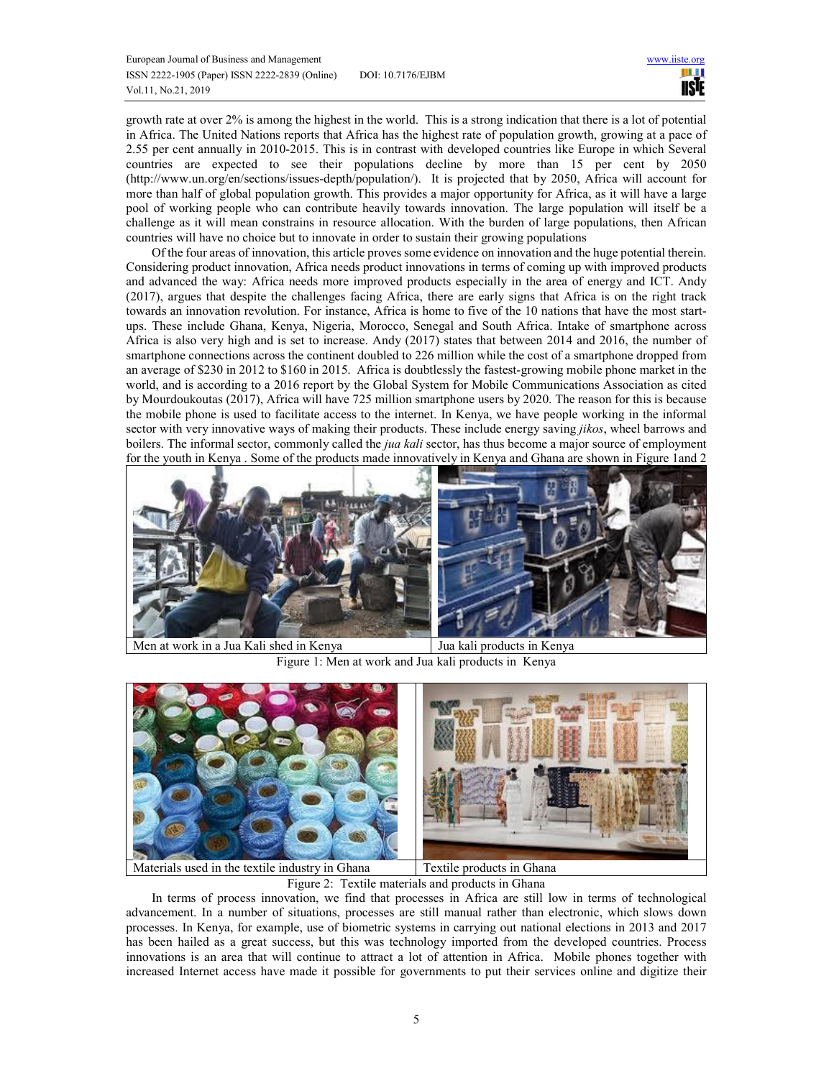growth rate at over 2% is among the highest in the world. This is a strong indication that there is a lot of potential in Africa. The United Nations reports that Africa has the highest rate of population growth, growing at a pace of 2.55 per cent annually in 2010-2015. This is in contrast with developed countries like Europe in which Several countries are expected to see their populations decline by more than 15 per cent by 2050 (http://www.un.org/en/sections/issues-depth/population/). It is projected that by 2050, Africa will account for more than half of global population growth. This provides a major opportunity for Africa, as it will have a large pool of working people who can contribute heavily towards innovation. The large population will itself be a challenge as it will mean constrains in resource allocation. With the burden of large populations, then African countries will have no choice but to innovate in order to sustain their growing populations

Of the four areas of innovation, this article proves some evidence on innovation and the huge potential therein. Considering product innovation, Africa needs product innovations in terms of coming up with improved products and advanced the way: Africa needs more improved products especially in the area of energy and ICT. Andy (2017), argues that despite the challenges facing Africa, there are early signs that Africa is on the right track towards an innovation revolution. For instance, Africa is home to five of the 10 nations that have the most startups. These include Ghana, Kenya, Nigeria, Morocco, Senegal and South Africa. Intake of smartphone across Africa is also very high and is set to increase. Andy (2017) states that between 2014 and 2016, the number of smartphone connections across the continent doubled to 226 million while the cost of a smartphone dropped from an average of \$230 in 2012 to \$160 in 2015. Africa is doubtlessly the fastest-growing mobile phone market in the world, and is according to a 2016 report by the Global System for Mobile Communications Association as cited by Mourdoukoutas (2017), Africa will have 725 million smartphone users by 2020. The reason for this is because the mobile phone is used to facilitate access to the internet. In Kenya, we have people working in the informal sector with very innovative ways of making their products. These include energy saving *jikos*, wheel barrows and boilers. The informal sector, commonly called the *jua kali* sector, has thus become a major source of employment for the youth in Kenya . Some of the products made innovatively in Kenya and Ghana are shown in Figure 1and 2



Figure 1: Men at work and Jua kali products in Kenya



Figure 2: Textile materials and products in Ghana

In terms of process innovation, we find that processes in Africa are still low in terms of technological advancement. In a number of situations, processes are still manual rather than electronic, which slows down processes. In Kenya, for example, use of biometric systems in carrying out national elections in 2013 and 2017 has been hailed as a great success, but this was technology imported from the developed countries. Process innovations is an area that will continue to attract a lot of attention in Africa. Mobile phones together with increased Internet access have made it possible for governments to put their services online and digitize their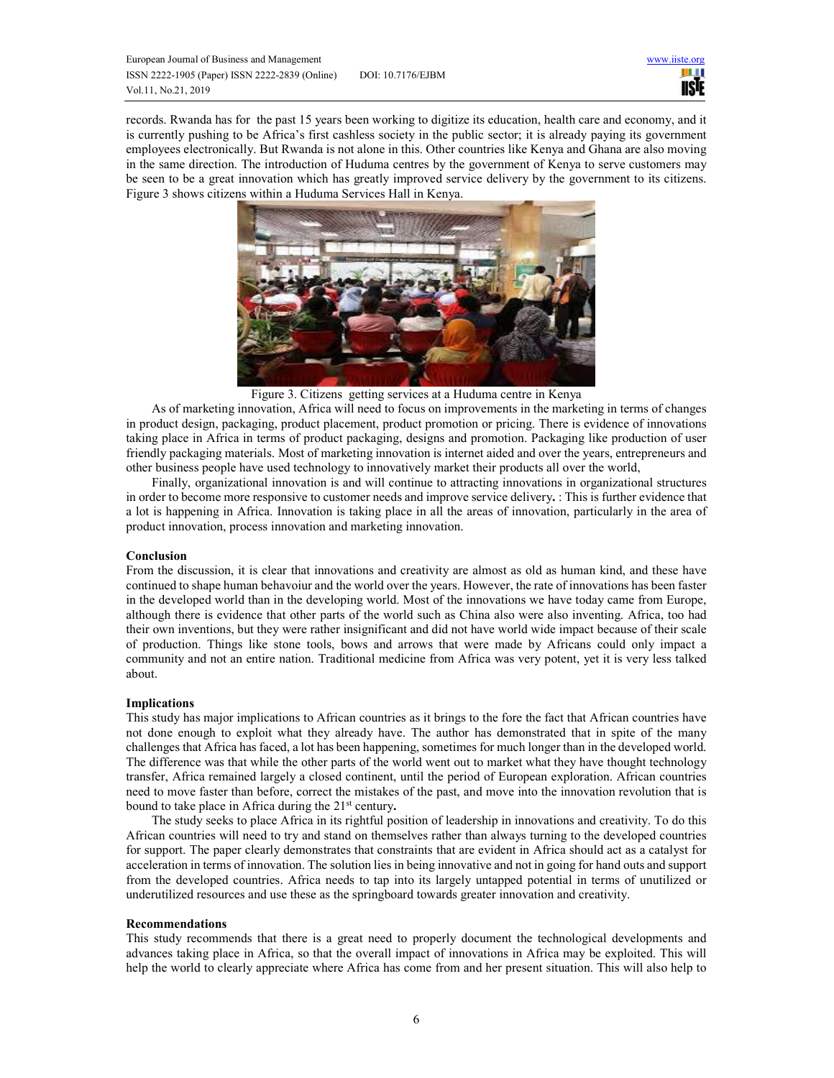

records. Rwanda has for the past 15 years been working to digitize its education, health care and economy, and it is currently pushing to be Africa's first cashless society in the public sector; it is already paying its government employees electronically. But Rwanda is not alone in this. Other countries like Kenya and Ghana are also moving in the same direction. The introduction of Huduma centres by the government of Kenya to serve customers may be seen to be a great innovation which has greatly improved service delivery by the government to its citizens. Figure 3 shows citizens within a Huduma Services Hall in Kenya.



Figure 3. Citizens getting services at a Huduma centre in Kenya

As of marketing innovation, Africa will need to focus on improvements in the marketing in terms of changes in product design, packaging, product placement, product promotion or pricing. There is evidence of innovations taking place in Africa in terms of product packaging, designs and promotion. Packaging like production of user friendly packaging materials. Most of marketing innovation is internet aided and over the years, entrepreneurs and other business people have used technology to innovatively market their products all over the world,

Finally, organizational innovation is and will continue to attracting innovations in organizational structures in order to become more responsive to customer needs and improve service delivery**.** : This is further evidence that a lot is happening in Africa. Innovation is taking place in all the areas of innovation, particularly in the area of product innovation, process innovation and marketing innovation.

### **Conclusion**

From the discussion, it is clear that innovations and creativity are almost as old as human kind, and these have continued to shape human behavoiur and the world over the years. However, the rate of innovations has been faster in the developed world than in the developing world. Most of the innovations we have today came from Europe, although there is evidence that other parts of the world such as China also were also inventing. Africa, too had their own inventions, but they were rather insignificant and did not have world wide impact because of their scale of production. Things like stone tools, bows and arrows that were made by Africans could only impact a community and not an entire nation. Traditional medicine from Africa was very potent, yet it is very less talked about.

### **Implications**

This study has major implications to African countries as it brings to the fore the fact that African countries have not done enough to exploit what they already have. The author has demonstrated that in spite of the many challenges that Africa has faced, a lot has been happening, sometimes for much longer than in the developed world. The difference was that while the other parts of the world went out to market what they have thought technology transfer, Africa remained largely a closed continent, until the period of European exploration. African countries need to move faster than before, correct the mistakes of the past, and move into the innovation revolution that is bound to take place in Africa during the 21st century**.** 

The study seeks to place Africa in its rightful position of leadership in innovations and creativity. To do this African countries will need to try and stand on themselves rather than always turning to the developed countries for support. The paper clearly demonstrates that constraints that are evident in Africa should act as a catalyst for acceleration in terms of innovation. The solution lies in being innovative and not in going for hand outs and support from the developed countries. Africa needs to tap into its largely untapped potential in terms of unutilized or underutilized resources and use these as the springboard towards greater innovation and creativity.

### **Recommendations**

This study recommends that there is a great need to properly document the technological developments and advances taking place in Africa, so that the overall impact of innovations in Africa may be exploited. This will help the world to clearly appreciate where Africa has come from and her present situation. This will also help to